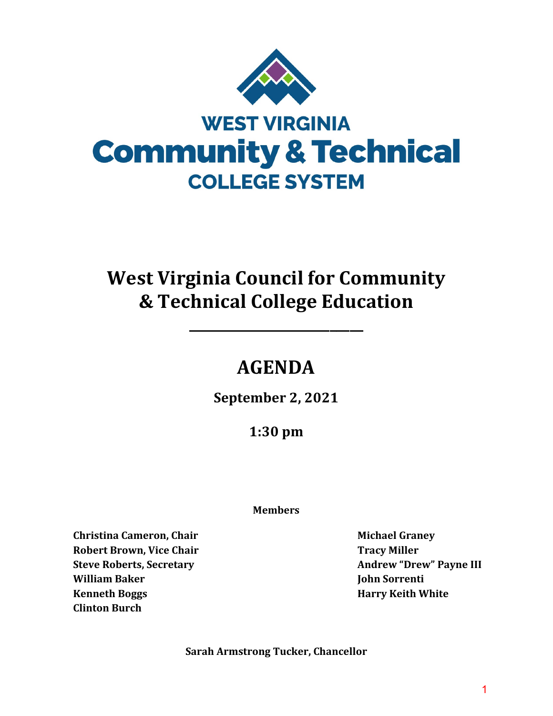

# **West Virginia Council for Community & Technical College Education**

# **AGENDA**

**\_\_\_\_\_\_\_\_\_\_\_\_\_\_\_\_\_\_\_\_\_\_\_\_\_\_**

**September 2, 2021**

**1:30 pm** 

## **Members**

**Christina Cameron, Chair Robert Brown, Vice Chair Steve Roberts, Secretary William Baker Kenneth Boggs Clinton Burch**

**Michael Graney Tracy Miller Andrew "Drew" Payne III John Sorrenti Harry Keith White**

**Sarah Armstrong Tucker, Chancellor**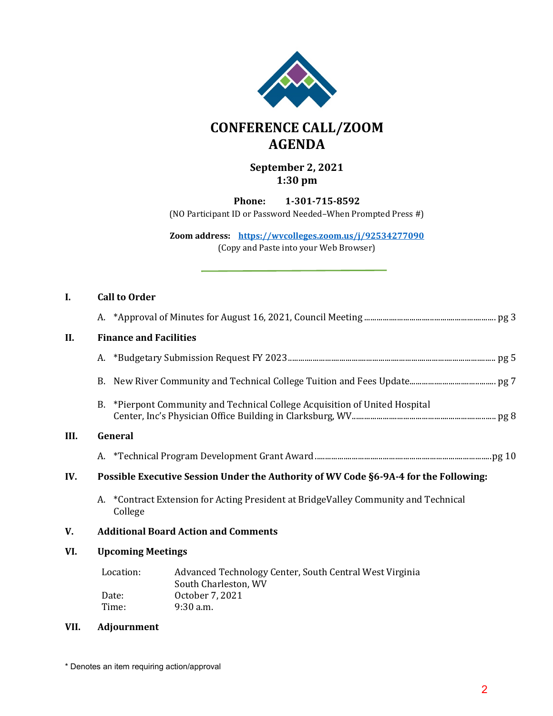

## **CONFERENCE CALL/ZOOM AGENDA**

## **September 2, 2021 1:30 pm**

**Phone: 1-301-715-8592**

(NO Participant ID or Password Needed–When Prompted Press #)

**Zoom address: <https://wvcolleges.zoom.us/j/92534277090>**

(Copy and Paste into your Web Browser)

| <b>Call to Order</b> |  |
|----------------------|--|
|----------------------|--|

**III.** 

| II.  |                                                                                                                                                                                                                                                                              | <b>Finance and Facilities</b> |                                                                          |  |  |
|------|------------------------------------------------------------------------------------------------------------------------------------------------------------------------------------------------------------------------------------------------------------------------------|-------------------------------|--------------------------------------------------------------------------|--|--|
|      |                                                                                                                                                                                                                                                                              |                               |                                                                          |  |  |
|      | B.                                                                                                                                                                                                                                                                           |                               |                                                                          |  |  |
|      | B.                                                                                                                                                                                                                                                                           |                               | *Pierpont Community and Technical College Acquisition of United Hospital |  |  |
| III. |                                                                                                                                                                                                                                                                              | General                       |                                                                          |  |  |
|      |                                                                                                                                                                                                                                                                              |                               |                                                                          |  |  |
| IV.  |                                                                                                                                                                                                                                                                              |                               |                                                                          |  |  |
|      |                                                                                                                                                                                                                                                                              | College                       |                                                                          |  |  |
| V.   | <b>Additional Board Action and Comments</b>                                                                                                                                                                                                                                  |                               |                                                                          |  |  |
| VI.  | Possible Executive Session Under the Authority of WV Code §6-9A-4 for the Following:<br>*Contract Extension for Acting President at BridgeValley Community and Technical<br><b>Upcoming Meetings</b><br>Location:<br>Advanced Technology Center, South Central West Virginia |                               |                                                                          |  |  |
|      |                                                                                                                                                                                                                                                                              |                               | South Charleston, WV                                                     |  |  |
|      |                                                                                                                                                                                                                                                                              | Date:                         | October 7, 2021                                                          |  |  |
|      |                                                                                                                                                                                                                                                                              | 9:30 a.m.<br>Time:            |                                                                          |  |  |

#### **VII. Adjournment**

\* Denotes an item requiring action/approval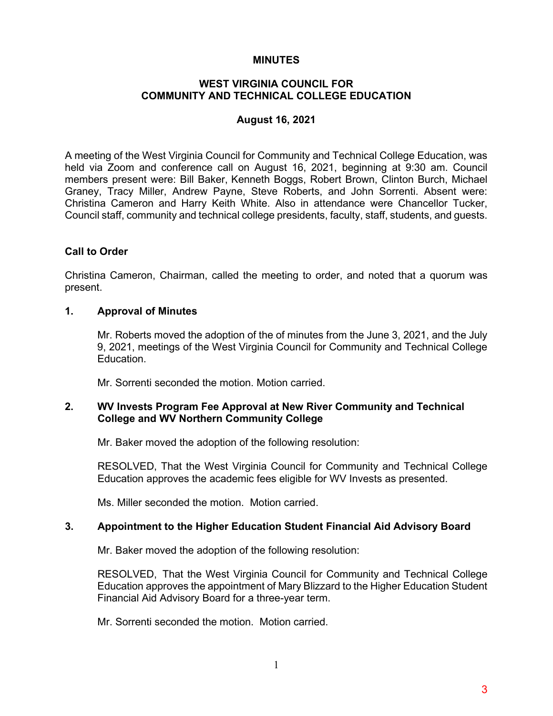#### **MINUTES**

#### **WEST VIRGINIA COUNCIL FOR COMMUNITY AND TECHNICAL COLLEGE EDUCATION**

#### **August 16, 2021**

A meeting of the West Virginia Council for Community and Technical College Education, was held via Zoom and conference call on August 16, 2021, beginning at 9:30 am. Council members present were: Bill Baker, Kenneth Boggs, Robert Brown, Clinton Burch, Michael Graney, Tracy Miller, Andrew Payne, Steve Roberts, and John Sorrenti. Absent were: Christina Cameron and Harry Keith White. Also in attendance were Chancellor Tucker, Council staff, community and technical college presidents, faculty, staff, students, and guests.

#### **Call to Order**

Christina Cameron, Chairman, called the meeting to order, and noted that a quorum was present.

#### **1. Approval of Minutes**

Mr. Roberts moved the adoption of the of minutes from the June 3, 2021, and the July 9, 2021, meetings of the West Virginia Council for Community and Technical College Education.

Mr. Sorrenti seconded the motion. Motion carried.

#### **2. WV Invests Program Fee Approval at New River Community and Technical College and WV Northern Community College**

Mr. Baker moved the adoption of the following resolution:

RESOLVED, That the West Virginia Council for Community and Technical College Education approves the academic fees eligible for WV Invests as presented.

Ms. Miller seconded the motion. Motion carried.

#### **3. Appointment to the Higher Education Student Financial Aid Advisory Board**

Mr. Baker moved the adoption of the following resolution:

RESOLVED, That the West Virginia Council for Community and Technical College Education approves the appointment of Mary Blizzard to the Higher Education Student Financial Aid Advisory Board for a three-year term.

Mr. Sorrenti seconded the motion. Motion carried.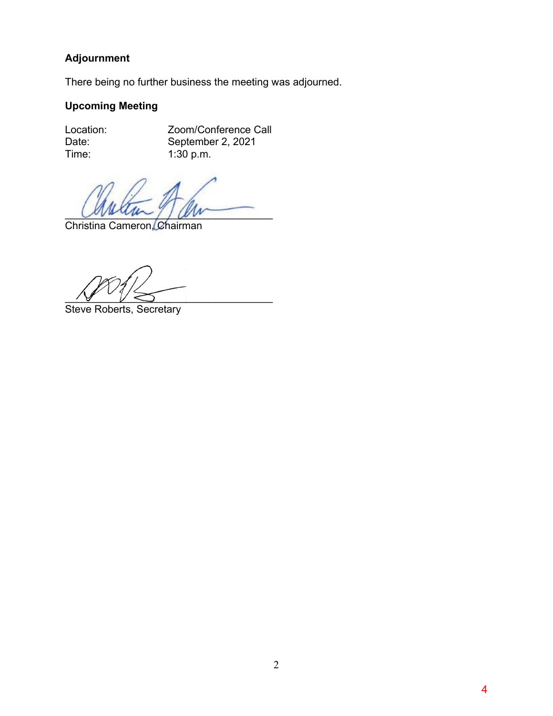## **Adjournment**

There being no further business the meeting was adjourned.

## **Upcoming Meeting**

Location: Zoom/Conference Call Date: September 2, 2021<br>Time: 1:30 p.m.  $1:30$  p.m.

 $Covation\_11$ 

Christina Cameron, Chairman

 $\frac{1}{\sqrt{2}}$   $\frac{1}{\sqrt{2}}$   $\frac{1}{\sqrt{2}}$ 

Steve Roberts, Secretary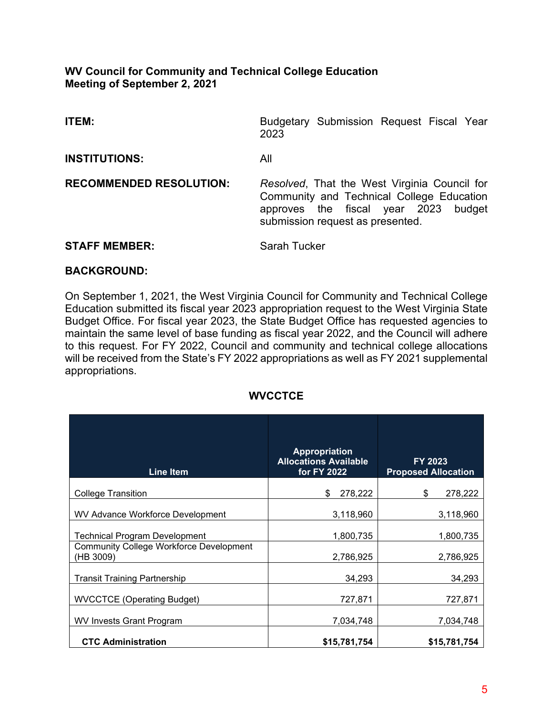## **WV Council for Community and Technical College Education Meeting of September 2, 2021**

| ITEM:                          | Budgetary Submission Request Fiscal Year<br>2023                                                                                                                         |  |  |
|--------------------------------|--------------------------------------------------------------------------------------------------------------------------------------------------------------------------|--|--|
| <b>INSTITUTIONS:</b>           | All                                                                                                                                                                      |  |  |
| <b>RECOMMENDED RESOLUTION:</b> | Resolved, That the West Virginia Council for<br>Community and Technical College Education<br>approves the fiscal year 2023<br>budget<br>submission request as presented. |  |  |
| <b>STAFF MEMBER:</b>           | <b>Sarah Tucker</b>                                                                                                                                                      |  |  |

## **BACKGROUND:**

On September 1, 2021, the West Virginia Council for Community and Technical College Education submitted its fiscal year 2023 appropriation request to the West Virginia State Budget Office. For fiscal year 2023, the State Budget Office has requested agencies to maintain the same level of base funding as fiscal year 2022, and the Council will adhere to this request. For FY 2022, Council and community and technical college allocations will be received from the State's FY 2022 appropriations as well as FY 2021 supplemental appropriations.

## **WVCCTCE**

| <b>Line Item</b>                                            | <b>Appropriation</b><br><b>Allocations Available</b><br>for FY 2022 | FY 2023<br><b>Proposed Allocation</b> |  |
|-------------------------------------------------------------|---------------------------------------------------------------------|---------------------------------------|--|
| <b>College Transition</b>                                   | \$<br>278,222                                                       | \$<br>278,222                         |  |
| WV Advance Workforce Development                            | 3,118,960                                                           | 3,118,960                             |  |
| Technical Program Development                               | 1,800,735                                                           | 1,800,735                             |  |
| <b>Community College Workforce Development</b><br>(HB 3009) | 2,786,925                                                           | 2,786,925                             |  |
| <b>Transit Training Partnership</b>                         | 34,293                                                              | 34,293                                |  |
| <b>WVCCTCE (Operating Budget)</b>                           | 727,871                                                             | 727,871                               |  |
| <b>WV Invests Grant Program</b>                             | 7,034,748                                                           | 7,034,748                             |  |
| <b>CTC Administration</b>                                   | \$15,781,754                                                        | \$15,781,754                          |  |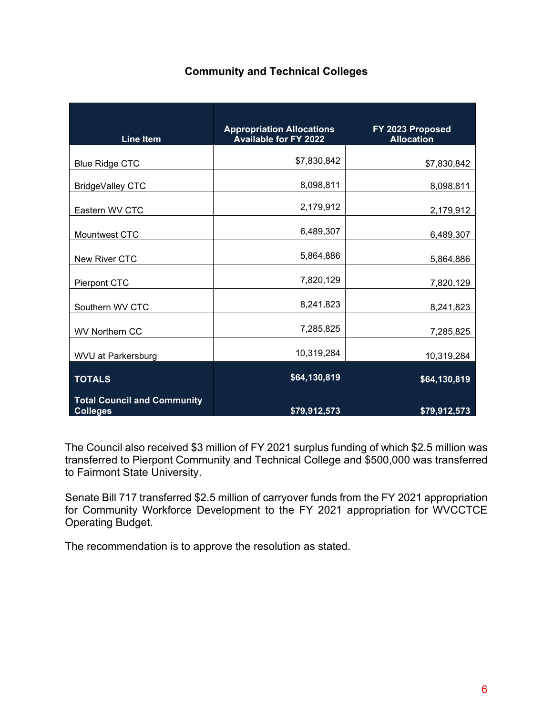## **Community and Technical Colleges**

| <b>Line Item</b>                                      | <b>Appropriation Allocations</b><br><b>Available for FY 2022</b> | FY 2023 Proposed<br><b>Allocation</b> |
|-------------------------------------------------------|------------------------------------------------------------------|---------------------------------------|
| <b>Blue Ridge CTC</b>                                 | \$7,830,842                                                      | \$7,830,842                           |
| BridgeValley CTC                                      | 8,098,811                                                        | 8,098,811                             |
| Eastern WV CTC                                        | 2,179,912                                                        | 2,179,912                             |
| Mountwest CTC                                         | 6,489,307                                                        | 6,489,307                             |
| New River CTC                                         | 5,864,886                                                        | 5,864,886                             |
| Pierpont CTC                                          | 7,820,129                                                        | 7,820,129                             |
| Southern WV CTC                                       | 8,241,823                                                        | 8,241,823                             |
| <b>WV Northern CC</b>                                 | 7,285,825                                                        | 7,285,825                             |
| <b>WVU at Parkersburg</b>                             | 10,319,284                                                       | 10,319,284                            |
| <b>TOTALS</b>                                         | \$64,130,819                                                     | \$64,130,819                          |
| <b>Total Council and Community</b><br><b>Colleges</b> | \$79,912,573                                                     | \$79,912,573                          |

The Council also received \$3 million of FY 2021 surplus funding of which \$2.5 million was transferred to Pierpont Community and Technical College and \$500,000 was transferred to Fairmont State University.

Senate Bill 717 transferred \$2.5 million of carryover funds from the FY 2021 appropriation for Community Workforce Development to the FY 2021 appropriation for WVCCTCE Operating Budget.

The recommendation is to approve the resolution as stated.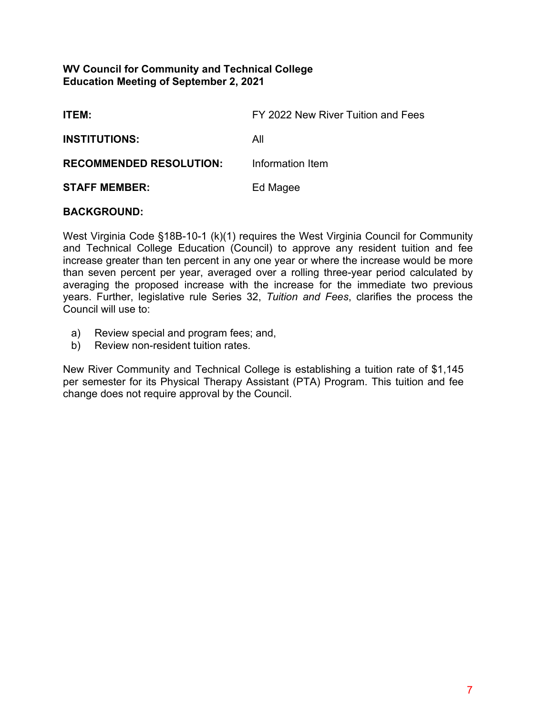## **WV Council for Community and Technical College Education Meeting of September 2, 2021**

| <b>ITEM:</b>                   | FY 2022 New River Tuition and Fees |
|--------------------------------|------------------------------------|
| <b>INSTITUTIONS:</b>           | All                                |
| <b>RECOMMENDED RESOLUTION:</b> | Information Item                   |
| <b>STAFF MEMBER:</b>           | Ed Magee                           |

## **BACKGROUND:**

West Virginia Code §18B-10-1 (k)(1) requires the West Virginia Council for Community and Technical College Education (Council) to approve any resident tuition and fee increase greater than ten percent in any one year or where the increase would be more than seven percent per year, averaged over a rolling three-year period calculated by averaging the proposed increase with the increase for the immediate two previous years. Further, legislative rule Series 32, *Tuition and Fees*, clarifies the process the Council will use to:

- a) Review special and program fees; and,
- b) Review non-resident tuition rates.

New River Community and Technical College is establishing a tuition rate of \$1,145 per semester for its Physical Therapy Assistant (PTA) Program. This tuition and fee change does not require approval by the Council.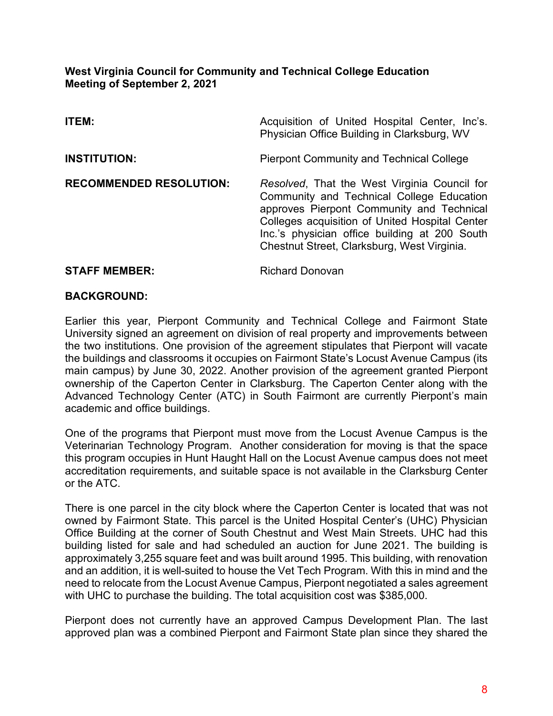## **West Virginia Council for Community and Technical College Education Meeting of September 2, 2021**

| <b>ITEM:</b>                   | Acquisition of United Hospital Center, Inc's.<br>Physician Office Building in Clarksburg, WV                                                                                                                                                                                             |
|--------------------------------|------------------------------------------------------------------------------------------------------------------------------------------------------------------------------------------------------------------------------------------------------------------------------------------|
| <b>INSTITUTION:</b>            | <b>Pierpont Community and Technical College</b>                                                                                                                                                                                                                                          |
| <b>RECOMMENDED RESOLUTION:</b> | Resolved, That the West Virginia Council for<br>Community and Technical College Education<br>approves Pierpont Community and Technical<br>Colleges acquisition of United Hospital Center<br>Inc.'s physician office building at 200 South<br>Chestnut Street, Clarksburg, West Virginia. |
|                                |                                                                                                                                                                                                                                                                                          |

## **BACKGROUND:**

**STAFF MEMBER:** Richard Donovan

Earlier this year, Pierpont Community and Technical College and Fairmont State University signed an agreement on division of real property and improvements between the two institutions. One provision of the agreement stipulates that Pierpont will vacate the buildings and classrooms it occupies on Fairmont State's Locust Avenue Campus (its main campus) by June 30, 2022. Another provision of the agreement granted Pierpont ownership of the Caperton Center in Clarksburg. The Caperton Center along with the Advanced Technology Center (ATC) in South Fairmont are currently Pierpont's main academic and office buildings.

One of the programs that Pierpont must move from the Locust Avenue Campus is the Veterinarian Technology Program. Another consideration for moving is that the space this program occupies in Hunt Haught Hall on the Locust Avenue campus does not meet accreditation requirements, and suitable space is not available in the Clarksburg Center or the ATC.

There is one parcel in the city block where the Caperton Center is located that was not owned by Fairmont State. This parcel is the United Hospital Center's (UHC) Physician Office Building at the corner of South Chestnut and West Main Streets. UHC had this building listed for sale and had scheduled an auction for June 2021. The building is approximately 3,255 square feet and was built around 1995. This building, with renovation and an addition, it is well-suited to house the Vet Tech Program. With this in mind and the need to relocate from the Locust Avenue Campus, Pierpont negotiated a sales agreement with UHC to purchase the building. The total acquisition cost was \$385,000.

Pierpont does not currently have an approved Campus Development Plan. The last approved plan was a combined Pierpont and Fairmont State plan since they shared the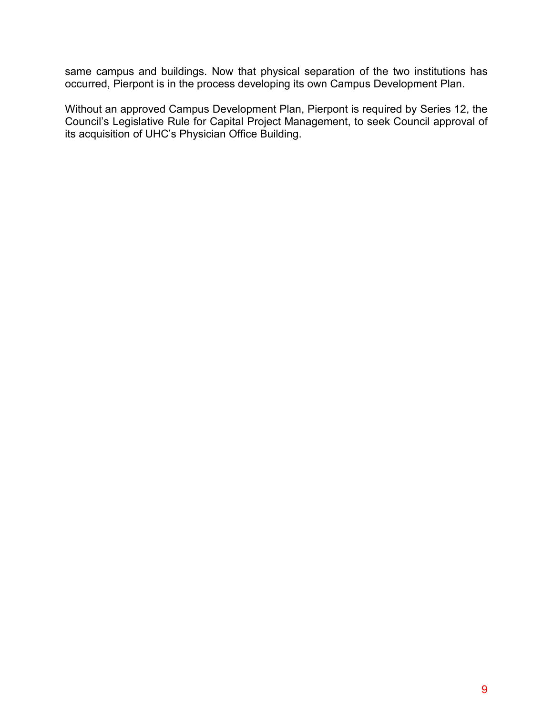same campus and buildings. Now that physical separation of the two institutions has occurred, Pierpont is in the process developing its own Campus Development Plan.

Without an approved Campus Development Plan, Pierpont is required by Series 12, the Council's Legislative Rule for Capital Project Management, to seek Council approval of its acquisition of UHC's Physician Office Building.